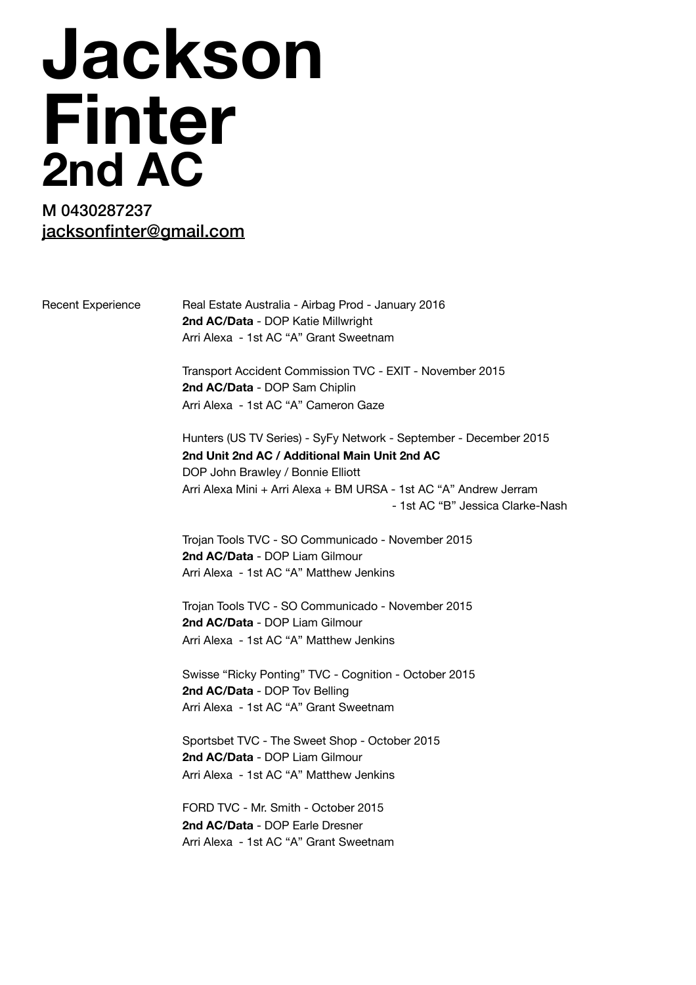## **Jackson Finter 2nd AC**

## M 0430287237 [jacksonfinter@gmail.com](mailto:jacksonfinter@gmail.com)

Recent Experience Real Estate Australia - Airbag Prod - January 2016 **2nd AC/Data** - DOP Katie Millwright Arri Alexa - 1st AC "A" Grant Sweetnam

> Transport Accident Commission TVC - EXIT - November 2015 **2nd AC/Data** - DOP Sam Chiplin Arri Alexa - 1st AC "A" Cameron Gaze

Hunters (US TV Series) - SyFy Network - September - December 2015 **2nd Unit 2nd AC / Additional Main Unit 2nd AC**  DOP John Brawley / Bonnie Elliott Arri Alexa Mini + Arri Alexa + BM URSA - 1st AC "A" Andrew Jerram - 1st AC "B" Jessica Clarke-Nash

Trojan Tools TVC - SO Communicado - November 2015 **2nd AC/Data** - DOP Liam Gilmour Arri Alexa - 1st AC "A" Matthew Jenkins

Trojan Tools TVC - SO Communicado - November 2015 **2nd AC/Data** - DOP Liam Gilmour Arri Alexa - 1st AC "A" Matthew Jenkins

Swisse "Ricky Ponting" TVC - Cognition - October 2015 **2nd AC/Data** - DOP Tov Belling Arri Alexa - 1st AC "A" Grant Sweetnam

Sportsbet TVC - The Sweet Shop - October 2015 **2nd AC/Data** - DOP Liam Gilmour Arri Alexa - 1st AC "A" Matthew Jenkins

FORD TVC - Mr. Smith - October 2015 **2nd AC/Data** - DOP Earle Dresner Arri Alexa - 1st AC "A" Grant Sweetnam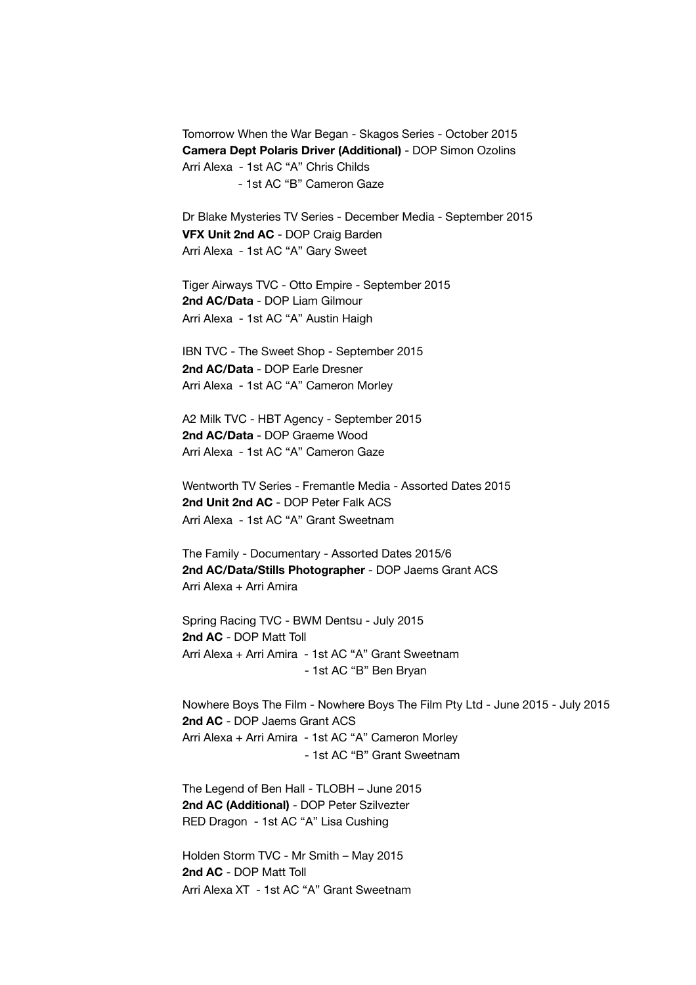Tomorrow When the War Began - Skagos Series - October 2015 **Camera Dept Polaris Driver (Additional)** - DOP Simon Ozolins Arri Alexa - 1st AC "A" Chris Childs - 1st AC "B" Cameron Gaze

Dr Blake Mysteries TV Series - December Media - September 2015 **VFX Unit 2nd AC** - DOP Craig Barden Arri Alexa - 1st AC "A" Gary Sweet

Tiger Airways TVC - Otto Empire - September 2015 **2nd AC/Data** - DOP Liam Gilmour Arri Alexa - 1st AC "A" Austin Haigh

IBN TVC - The Sweet Shop - September 2015 **2nd AC/Data** - DOP Earle Dresner Arri Alexa - 1st AC "A" Cameron Morley

A2 Milk TVC - HBT Agency - September 2015 **2nd AC/Data** - DOP Graeme Wood Arri Alexa - 1st AC "A" Cameron Gaze

Wentworth TV Series - Fremantle Media - Assorted Dates 2015 **2nd Unit 2nd AC** - DOP Peter Falk ACS Arri Alexa - 1st AC "A" Grant Sweetnam

The Family - Documentary - Assorted Dates 2015/6 **2nd AC/Data/Stills Photographer** - DOP Jaems Grant ACS Arri Alexa + Arri Amira

Spring Racing TVC - BWM Dentsu - July 2015 **2nd AC** - DOP Matt Toll Arri Alexa + Arri Amira - 1st AC "A" Grant Sweetnam - 1st AC "B" Ben Bryan

Nowhere Boys The Film - Nowhere Boys The Film Pty Ltd - June 2015 - July 2015 **2nd AC** - DOP Jaems Grant ACS Arri Alexa + Arri Amira - 1st AC "A" Cameron Morley - 1st AC "B" Grant Sweetnam

The Legend of Ben Hall - TLOBH – June 2015 **2nd AC (Additional)** - DOP Peter Szilvezter RED Dragon - 1st AC "A" Lisa Cushing

Holden Storm TVC - Mr Smith – May 2015 **2nd AC** - DOP Matt Toll Arri Alexa XT - 1st AC "A" Grant Sweetnam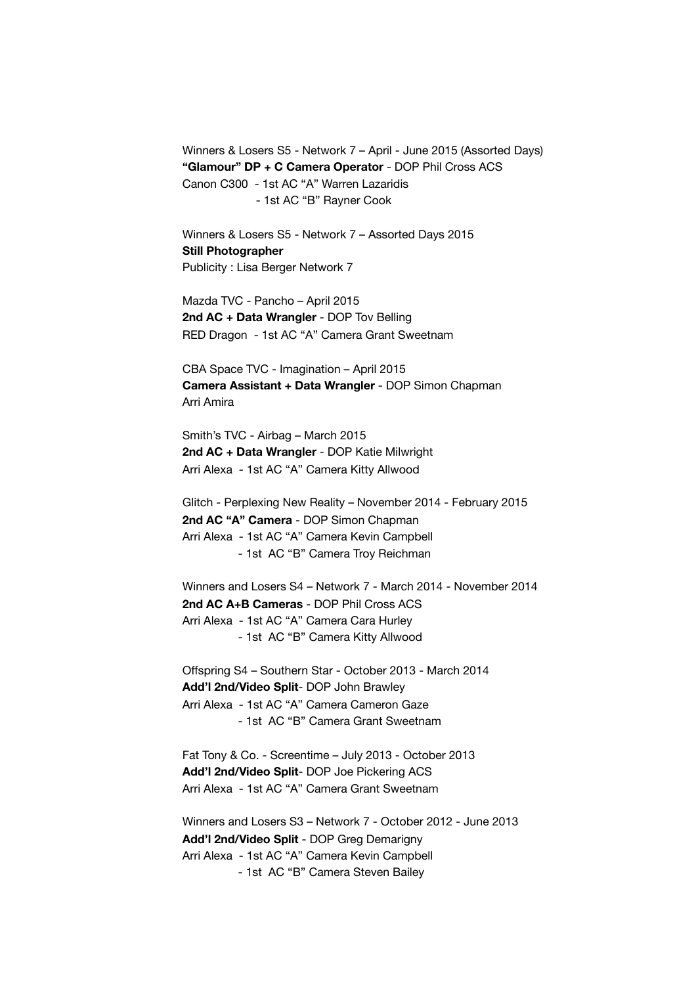Winners & Losers S5 - Network 7 – April - June 2015 (Assorted Days) **"Glamour" DP + C Camera Operator** - DOP Phil Cross ACS Canon C300 - 1st AC "A" Warren Lazaridis - 1st AC "B" Rayner Cook

Winners & Losers S5 - Network 7 – Assorted Days 2015 **Still Photographer**  Publicity : Lisa Berger Network 7

Mazda TVC - Pancho – April 2015 **2nd AC + Data Wrangler** - DOP Tov Belling RED Dragon - 1st AC "A" Camera Grant Sweetnam

CBA Space TVC - Imagination – April 2015 **Camera Assistant + Data Wrangler** - DOP Simon Chapman Arri Amira

Smith's TVC - Airbag – March 2015 **2nd AC + Data Wrangler** - DOP Katie Milwright Arri Alexa - 1st AC "A" Camera Kitty Allwood

Glitch - Perplexing New Reality – November 2014 - February 2015 **2nd AC "A" Camera** - DOP Simon Chapman Arri Alexa - 1st AC "A" Camera Kevin Campbell - 1st AC "B" Camera Troy Reichman

Winners and Losers S4 – Network 7 - March 2014 - November 2014 **2nd AC A+B Cameras** - DOP Phil Cross ACS Arri Alexa - 1st AC "A" Camera Cara Hurley - 1st AC "B" Camera Kitty Allwood

Offspring S4 – Southern Star - October 2013 - March 2014 **Add'l 2nd/Video Split**- DOP John Brawley Arri Alexa - 1st AC "A" Camera Cameron Gaze - 1st AC "B" Camera Grant Sweetnam

Fat Tony & Co. - Screentime – July 2013 - October 2013 **Add'l 2nd/Video Split**- DOP Joe Pickering ACS Arri Alexa - 1st AC "A" Camera Grant Sweetnam

Winners and Losers S3 – Network 7 - October 2012 - June 2013 **Add'l 2nd/Video Split** - DOP Greg Demarigny Arri Alexa - 1st AC "A" Camera Kevin Campbell - 1st AC "B" Camera Steven Bailey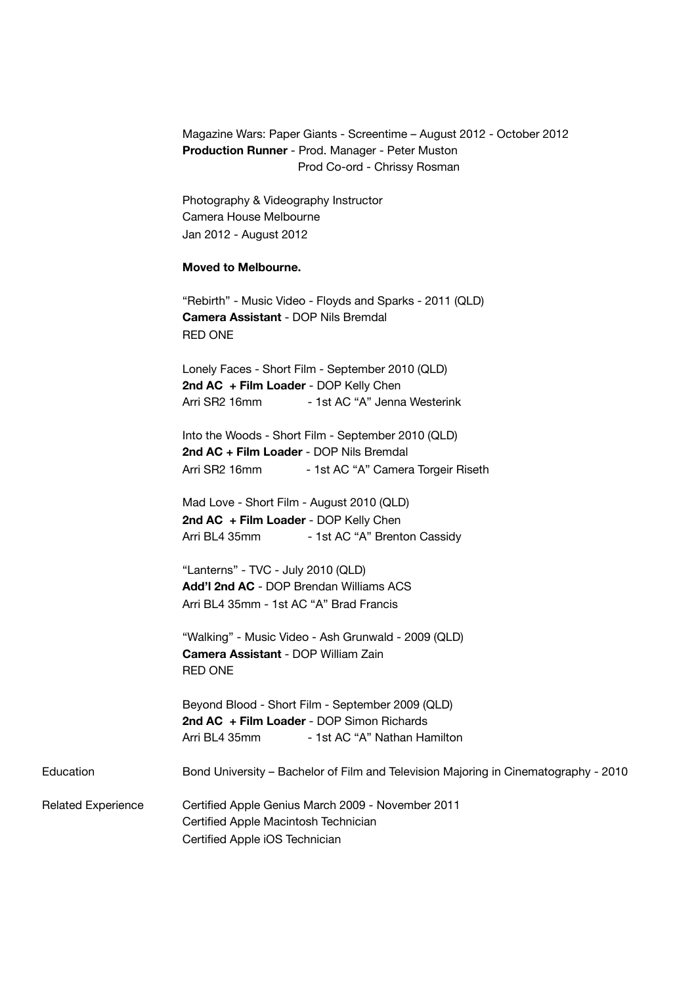|                           | Production Runner - Prod. Manager - Peter Muston<br>Prod Co-ord - Chrissy Rosman                                                               |
|---------------------------|------------------------------------------------------------------------------------------------------------------------------------------------|
|                           | Photography & Videography Instructor<br>Camera House Melbourne                                                                                 |
|                           | Jan 2012 - August 2012                                                                                                                         |
|                           | <b>Moved to Melbourne.</b>                                                                                                                     |
|                           | "Rebirth" - Music Video - Floyds and Sparks - 2011 (QLD)<br>Camera Assistant - DOP Nils Bremdal<br><b>RED ONE</b>                              |
|                           | Lonely Faces - Short Film - September 2010 (QLD)                                                                                               |
|                           | 2nd AC + Film Loader - DOP Kelly Chen<br>- 1st AC "A" Jenna Westerink<br>Arri SR2 16mm                                                         |
|                           | Into the Woods - Short Film - September 2010 (QLD)                                                                                             |
|                           | 2nd AC + Film Loader - DOP Nils Bremdal<br>Arri SR2 16mm<br>- 1st AC "A" Camera Torgeir Riseth                                                 |
|                           | Mad Love - Short Film - August 2010 (QLD)                                                                                                      |
|                           | 2nd AC + Film Loader - DOP Kelly Chen<br>Arri BL4 35mm<br>- 1st AC "A" Brenton Cassidy                                                         |
|                           | "Lanterns" - TVC - July 2010 (QLD)                                                                                                             |
|                           | Add'l 2nd AC - DOP Brendan Williams ACS<br>Arri BL4 35mm - 1st AC "A" Brad Francis                                                             |
|                           | "Walking" - Music Video - Ash Grunwald - 2009 (QLD)<br><b>Camera Assistant - DOP William Zain</b>                                              |
|                           | <b>RED ONE</b>                                                                                                                                 |
|                           | Beyond Blood - Short Film - September 2009 (QLD)<br>2nd AC + Film Loader - DOP Simon Richards<br>- 1st AC "A" Nathan Hamilton<br>Arri BL4 35mm |
| Education                 | Bond University - Bachelor of Film and Television Majoring in Cinematography - 2010                                                            |
| <b>Related Experience</b> | Certified Apple Genius March 2009 - November 2011                                                                                              |
|                           | Certified Apple Macintosh Technician                                                                                                           |
|                           | Certified Apple iOS Technician                                                                                                                 |

Magazine Wars: Paper Giants - Screentime – August 2012 - October 2012